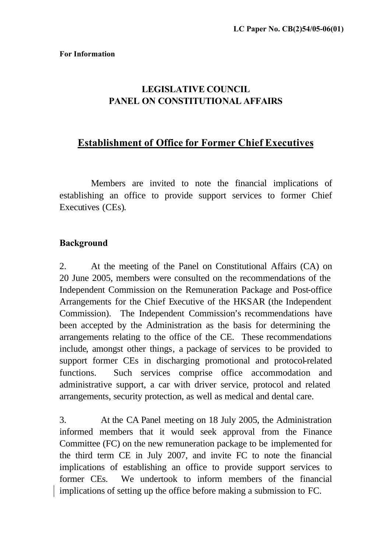# **LEGISLATIVE COUNCIL PANEL ON CONSTITUTIONAL AFFAIRS**

## **Establishment of Office for Former Chief Executives**

Members are invited to note the financial implications of establishing an office to provide support services to former Chief Executives (CEs).

#### **Background**

2. At the meeting of the Panel on Constitutional Affairs (CA) on 20 June 2005, members were consulted on the recommendations of the Independent Commission on the Remuneration Package and Post-office Arrangements for the Chief Executive of the HKSAR (the Independent Commission). The Independent Commission's recommendations have been accepted by the Administration as the basis for determining the arrangements relating to the office of the CE. These recommendations include, amongst other things, a package of services to be provided to support former CEs in discharging promotional and protocol-related functions. Such services comprise office accommodation and administrative support, a car with driver service, protocol and related arrangements, security protection, as well as medical and dental care.

3. At the CA Panel meeting on 18 July 2005, the Administration informed members that it would seek approval from the Finance Committee (FC) on the new remuneration package to be implemented for the third term CE in July 2007, and invite FC to note the financial implications of establishing an office to provide support services to former CEs. We undertook to inform members of the financial implications of setting up the office before making a submission to FC.